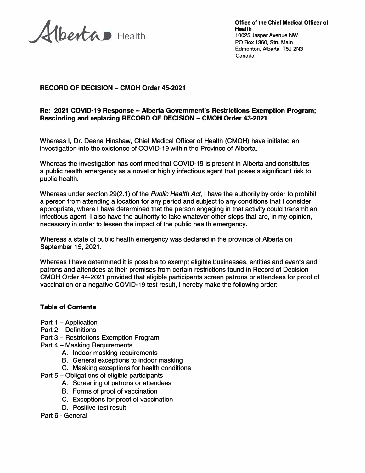**\_A.{�** Health

**Office of the Chief Medical Officer of Health 10025 Jasper Avenue NW PO Box 1360, Stn. Main Edmonton, Alberta T5J 2N3 Canada** 

# **RECORD OF DECISION - CMOH Order 45-2021**

### **Re: 2021 COVID-19 Response -Alberta Government's Restrictions Exemption Program; Rescinding and replacing RECORD OF DECISION - CMOH Order 43-2021**

Whereas I, Dr. Deena Hinshaw, Chief Medical Officer of Mealth (CMOH) have initiated an investigation into the existence of COVID-19 within the Province of Alberta.

Whereas the investigation has confirmed that COVID-19 is present in Alberta and constitutes a public health emergency as a novel or highly infectious agent that poses a significant risk to public health.

Whereas under section 29(2.1) of the *Public Health Act,* I have the authority by order to prohibit a person from attending a location for any period and subject to any conditions that I consider appropriate, where I have determined that the person engaging in that activity could transmit an infectious agent. I also have the authority to take whatever other steps that are, in my opinion, necessary in order to lessen the impact of the public health emergency.

Whereas a state of public health emergency was declared in the province of Alberta on September 15, 2021.

Whereas I have determined it is possible to exempt eligible businesses, entities and events and patrons and attendees at their premises from certain restrictions found in Record of Decision CMOH Order 44-2021 provided that eligible participants screen patrons or attendees for proof of vaccination or a negative COVID-19 test result, I hereby make the following order:

### **Table of Contents**

- Part 1 Application
- Part 2 Definitions
- Part 3 Restrictions Exemption Program
- Part 4 Masking Requirements
	- A. Indoor masking requirements
	- B. General exceptions to indoor masking
	- C. Masking exceptions for health conditions
- Part 5 Obligations of eligible participants
	- A. Screening of patrons or attendees
	- B. Forms of proof of vaccination
	- C. Exceptions for proof of vaccination
	- D. Positive test result
- Part 6 General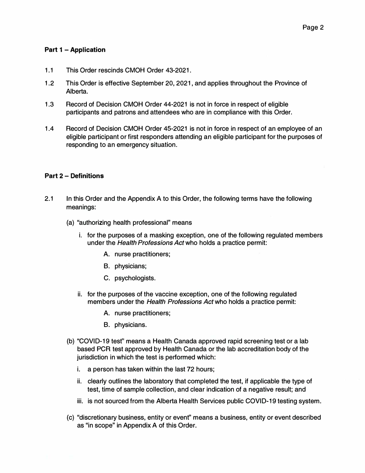# **Part 1 - Application**

- 1.1 This Order rescinds CMOH Order 43-2021.
- 1.2 This Order is effective September 20 , 2021, and applies throughout the Province of Alberta.
- 1.3 Record of Decision CMOH Order 44-2021 is not in force in respect of eligible participants and patrons and attendees who are in compliance with this Order.
- 1.4 Record of Decision CMOH Order 45-2021 is not in force in respect of an employee of an eligible participant or first responders attending an eligible participant for the purposes of responding to an emergency situation.

### **Part 2 - Definitions**

- 2.1 In this Order and the Appendix A to this Order, the following terms have the following meanings:
	- (a) "authorizing health professional" means
		- i. for the purposes of a masking exception, one of the following regulated members under the *Health Professions Act* who holds a practice permit:
			- A. nurse practitioners;
			- B. physicians;
			- C. psychologists.
		- ii. for the purposes of the vaccine exception, one of the following regulated members under the *Health Professions Act* who holds a practice permit:
			- A. nurse practitioners;
			- B. physicians.
	- (b) "COVID- 19 test'' means a Health Canada approved rapid screening test or a lab based PCR test approved by Health Canada or the lab accreditation body of the jurisdiction in which the test is performed which:
		- i. a person has taken within the last 72 hours;
		- ii. clearly outlines the laboratory that completed the test, if applicable the type of test, time of sample collection, and clear indication of a negative result; and
		- iii. is not sourced from the Alberta Health Services public COVID-19 testing system.
	- (c) "discretionary business, entity or event'' means a business, entity or event described as "in scope" in Appendix A of this Order.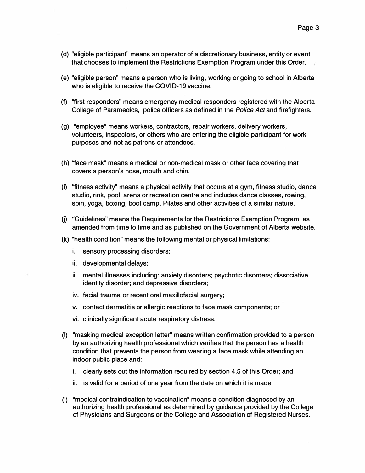- (d) "eligible participant" means an operator of a discretionary business, entity or event that chooses to implement the Restrictions Exemption Program under this Order.
- (e) "eligible person" means a person who is living, working or going to school in Alberta who is eligible to receive the COVID-19 vaccine.
- (f) ''first responders" means emergency medical responders registered with the Alberta College of Paramedics, police officers as defined in the *Police Act* and firefighters.
- (g) "employee" means workers, contractors, repair workers, delivery workers, volunteers, inspectors, or others who are entering the eligible participant for work purposes and not as patrons or attendees.
- (h) ''face mask" means a medical or non-medical mask or other face covering that covers a person's nose, mouth and chin.
- (i) ''fitness activity'' means a physical activity that occurs at a gym, fitness studio, dance studio, rink, pool, arena or recreation centre and includes dance classes, rowing, spin, yoga, boxing, boot camp, Pilates and other activities of a similar nature.
- 0) "Guidelines" means the Requirements for the Restrictions Exemption Program, as amended from time to time and as published on the Government of Alberta website.
- (k) "health condition" means the following mental or physical limitations:
	- i. sensory processing disorders;
	- ii. developmental delays;
	- iii. mental illnesses including: anxiety disorders; psychotic disorders; dissociative identity disorder; and depressive disorders;
	- iv. facial trauma or recent oral maxillofacial surgery;
	- v. contact dermatitis or allergic reactions to face mask components; or
	- vi. clinically significant acute respiratory distress.
- (I) "masking medical exception letter'' means written confirmation provided to a person by an authorizing health professional which verifies that the person has a health condition that prevents the person from wearing a face mask while attending an indoor public place and:
	- i. clearly sets out the information required by section 4.5 of this Order; and
	- ii. is valid for a period of one year from the date on which it is made.
- (I) "medical contraindication to vaccination" means a condition diagnosed by an authorizing health professional as determined by guidance provided by the College of Physicians and Surgeons or the College and Association of Registered Nurses.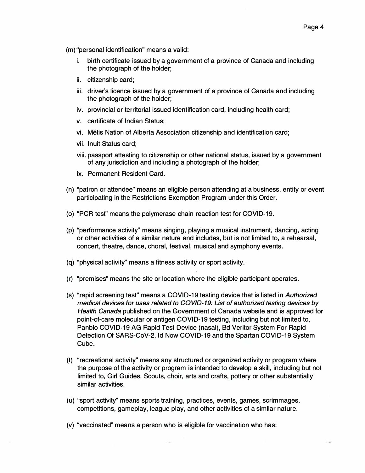- (m) "personal identification" means a valid:
	- i. birth certificate issued by a government of a province of Canada and including the photograph of the holder;
	- ii. citizenship card;
	- iii. driver's licence issued by a government of a province of Canada and including the photograph of the holder;
	- iv. provincial or territorial issued identification card, including health card;
	- v. certificate of Indian Status;
	- vi. Metis Nation of Alberta Association citizenship and identification card;
	- vii. Inuit Status card;
	- viii. passport attesting to citizenship or other national status, issued by a government of any jurisdiction and including a photograph of the holder;
	- ix. Permanent Resident Card.
- (n) "patron or attendee" means an eligible person attending at a business, entity or event participating in the Restrictions Exemption Program under this Order.
- (o) "PCR test" means the polymerase chain reaction test for COVID-19.
- (p) "performance activity'' means singing, playing a musical instrument, dancing, acting or other activities of a similar nature and includes, but is not limited to, a rehearsal, concert, theatre, dance, choral, festival, musical and symphony events.
- (q) "physical activity" means a fitness activity or sport activity.
- (r) "premises" means the site or location where the eligible participant operates.
- (s) "rapid screening test" means a COVID-19 testing device that is listed in *Authorized medical devices for uses related to COVID-19: List of authorized testing devices by Health Canada* published on the Government of Canada website and is approved for point-of-care molecular or antigen COVID-19 testing, including but not limited to, Panbio COVID-19 AG Rapid Test Device (nasal), Bd Veritor System For Rapid Detection Of SARS-CoV-2, Id Now COVID-19 and the Spartan COVID-19 System Cube.
- (t) "recreational activity'' means any structured or organized activity or program where the purpose of the activity or program is intended to develop a skill, including but not limited to, Girl Guides, Scouts, choir, arts and crafts, pottery or other substantially similar activities.
- (u) "sport activity'' means sports training, practices, events, games, scrimmages, competitions, gameplay, league play, and other activities of a similar nature.
- (v) ''vaccinated" means a person who is eligible for vaccination who has: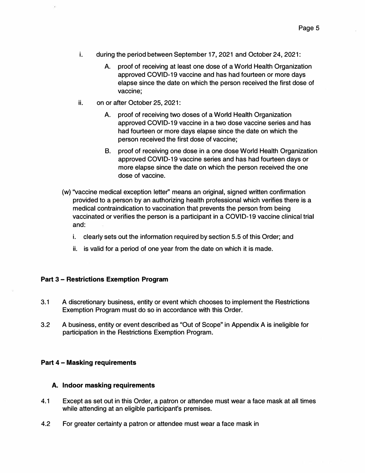- i. during the period between September 17, 2021 and October 24, 2021:
	- A. proof of receiving at least one dose of a World Health Organization approved COVID-19 vaccine and has had fourteen or more days elapse since the date on which the person received the first dose of vaccine;
- ii. on or after October 25, 2021:
	- A. proof of receiving two doses of a World Health Organization approved COVID-19 vaccine in a two dose vaccine series and has had fourteen or more days elapse since the date on which the person received the first dose of vaccine;
	- B. proof of receiving one dose in a one dose World Health Organization approved COVID-19 vaccine series and has had fourteen days or more elapse since the date on which the person received the one dose of vaccine.
- (w) ''vaccine medical exception letter'' means an original, signed written confirmation provided to a person by an authorizing health professional which verifies there is a medical contraindication to vaccination that prevents the person from being vaccinated or verifies the person is a participant in a COVID-19 vaccine clinical trial and:
	- i. clearly sets out the information required by section 5.5 of this Order; and
	- ii. is valid for a period of one year from the date on which it is made.

### **Part 3 - Restrictions Exemption Program**

- 3.1 A discretionary business, entity or event which chooses to implement the Restrictions Exemption Program must do so in accordance with this Order.
- 3.2 A business, entity or event described as "Out of Scope" in Appendix A is ineligible for participation in the Restrictions Exemption Program.

### **Part 4 - Ma�king requirements**

#### **A. Indoor masking requirements**

- 4.1 Except as set out in this Order, a patron or attendee must wear a face mask at all times while attending at an eligible participant's premises.
- 4.2 For greater certainty a patron or attendee must wear a face mask in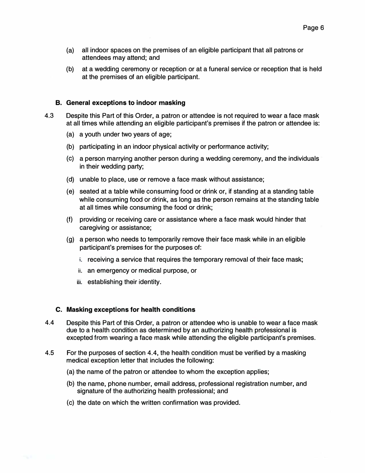- (a) all indoor spaces on the premises of an eligible participant that all patrons or attendees may attend; and
- (b) at a wedding ceremony or reception or at a funeral service or reception that is held at the premises of an eligible participant.

### **B. General exceptions to indoor masking**

- 4.3 Despite this Part of this Order, a patron or attendee is not required to wear a face mask at all times while attending an eligible participant's premises if the patron or attendee is:
	- (a) a youth under two years of age;
	- (b) participating in an indoor physical activity or performance activity;
	- (c) a person marrying another person during a wedding ceremony, and the individuals in their wedding party;
	- (d) unable to place, use or remove a face mask without assistance;
	- (e) seated at a table while consuming food or drink or, if standing at a standing table while consuming food or drink, as long as the person remains at the standing table at all times while consuming the food or drink;
	- (f) providing or receiving care or assistance where a face mask would hinder that caregiving or assistance;
	- (g) a person who needs to temporarily remove their face mask while in an eligible participant's premises for the purposes of:
		- i. receiving a service that requires the temporary removal of their face mask;
		- ii. an emergency or medical purpose, or
		- iii. establishing their identity.

### **C. Masking exceptions for health conditions**

- 4.4 Despite this Part of this Order, a patron or attendee who is unable to wear a face mask due to a health condition as determined by an authorizing health professional is excepted from wearing a face mask while attending the eligible participant's premises.
- 4.5 For the purposes of section 4.4, the health condition must be verified by a masking medical exception letter that includes the following:
	- (a) the name of the patron or attendee to whom the exception applies;
	- (b) the name, phone number, email address, professional registration number, and signature of the authorizing health professional; and
	- (c) the date on which the written confirmation was provided.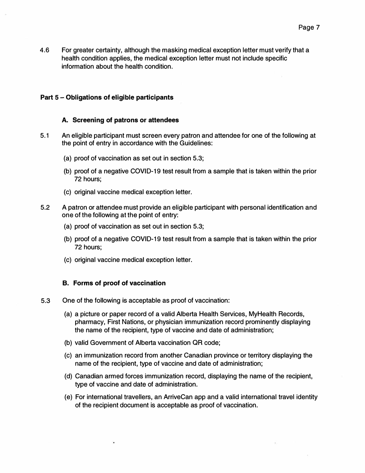4.6 For greater certainty, although the masking medical exception letter must verify that a health condition applies, the medical exception letter must not include specific information about the health condition.

### **Part 5 - Obligations of eligible participants**

### **A. Screening of patrons or attendees**

- 5.1 An eligible participant must screen every patron and attendee for one of the following at the point of entry in accordance with the Guidelines:
	- (a) proof of vaccination as set out in section 5.3;
	- (b) proof of a negative COVID-19 test result from a sample that is taken within the prior 72 hours;
	- (c) original vaccine medical exception letter.
- 5.2 A patron or attendee must provide an eligible participant with personal identification and one of the following at the point of entry:
	- (a) proof of vaccination as set out in section 5.3;
	- (b) proof of a negative COVID-19 test result from a sample that is taken within the prior 72 hours;
	- (c) original vaccine medical exception letter.

### **B. Forms of proof of vaccination**

- 5.3 One of the following is acceptable as proof of vaccination:
	- (a) a picture or paper record of a valid Alberta Health Services, MyHealth Records, pharmacy, First Nations, or physician immunization record prominently displaying the name of the recipient, type of vaccine and date of administration;
	- (b) valid Government of Alberta vaccination QR code;
	- (c) an immunization record from another Canadian province or territory displaying the name of the recipient, type of vaccine and date of administration;
	- (d) Canadian armed forces immunization record, displaying the name of the recipient, type of vaccine and date of administration.
	- (e) For international travellers, an ArriveCan app and a valid international travel identity of the recipient document is acceptable as proof of vaccination.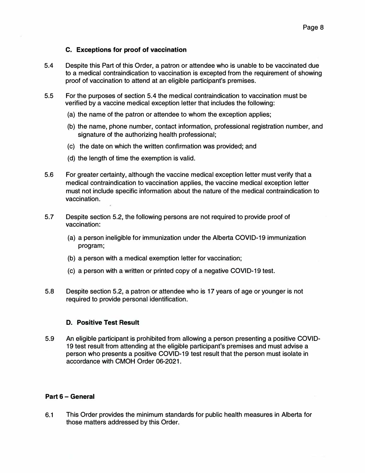### **C. Exceptions for proof of vaccination**

- 5.4 Despite this Part of this Order, a patron or attendee who is unable to be vaccinated due to a medical contraindication to vaccination is excepted from the requirement of showing proof of vaccination to attend at an eligible participant's premises.
- 5.5 For the purposes of section 5.4 the medical contraindication to vaccination must be verified by a vaccine medical exception letter that includes the following:
	- (a) the name of the patron or attendee to whom the exception applies;
	- (b) the name, phone number, contact information, professional registration number, and signature of the authorizing health professional;
	- (c) the date on which the written confirmation was provided; and
	- (d) the length of time the exemption is valid.
- 5.6 For greater certainty, although the vaccine medical exception letter must verify that a medical contraindication to vaccination applies, the vaccine medical exception letter must not include specific information about the nature of the medical contraindication to vaccination.
- 5.7 Despite section 5.2, the following persons are not required to provide proof of vaccination:
	- (a) a person ineligible for immunization under the Alberta COVID-19 immunization program;
	- (b) a person with a medical exemption letter for vaccination;
	- (c) a person with a written or printed copy of a negative COVID-19 test.
- 5.8 Despite section 5.2, a patron or attendee who is 17 years of age or younger is not required to provide personal identification.

# **D. Positive Test Result**

5.9 An eligible participant is prohibited from allowing a person presenting a positive COVID-19 test result from attending at the eligible participant's premises and must advise a person who presents a positive COVID-19 test result that the person must isolate in accordance with CMOH Order 06-2021.

# **Part 6 - General**

6.1 This Order provides the minimum standards for public health measures in Alberta for those matters addressed by this Order.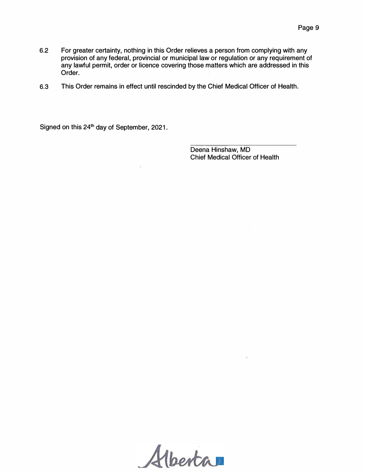- 6.2 For greater certainty, nothing in this Order relieves a person from complying with any provision of any federal, provincial or municipal law or regulation or any requirement of any lawful permit, order or licence covering those matters which are addressed in this Order.
- 6.3 This Order remains in effect until rescinded by the Chief Medical Officer of Health.

Signed on this 24<sup>th</sup> day of September, 2021.

Deena Hinshaw, MD Chief Medical Officer of Health

Alberta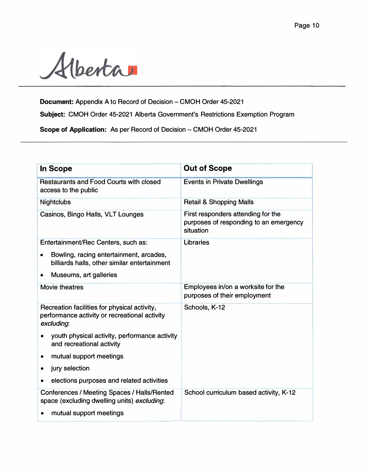

**Document:** Appendix A to Record of Decision - CMOH Order 45-2021

**Subject:** CMOH Order 45-2021 Alberta Government's Restrictions Exemption Program

**Scope of Application:** As per Record of Decision - CMOH Order 45-2021

| <b>In Scope</b>                                                                                             | <b>Out of Scope</b>                                                                       |
|-------------------------------------------------------------------------------------------------------------|-------------------------------------------------------------------------------------------|
| <b>Restaurants and Food Courts with closed</b><br>access to the public                                      | <b>Events in Private Dwellings</b>                                                        |
| <b>Nightclubs</b>                                                                                           | <b>Retail &amp; Shopping Malls</b>                                                        |
| Casinos, Bingo Halls, VLT Lounges                                                                           | First responders attending for the<br>purposes of responding to an emergency<br>situation |
| Entertainment/Rec Centers, such as:                                                                         | <b>Libraries</b>                                                                          |
| Bowling, racing entertainment, arcades,<br>$\bullet$<br>billiards halls, other similar entertainment        |                                                                                           |
| Museums, art galleries                                                                                      |                                                                                           |
| <b>Movie theatres</b>                                                                                       | Employees in/on a worksite for the<br>purposes of their employment                        |
| Recreation facilities for physical activity,<br>performance activity or recreational activity<br>excluding. | Schools, K-12                                                                             |
| youth physical activity, performance activity<br>and recreational activity                                  |                                                                                           |
| mutual support meetings                                                                                     |                                                                                           |
| jury selection<br>$\bullet$                                                                                 |                                                                                           |
| elections purposes and related activities<br>$\bullet$                                                      |                                                                                           |
| Conferences / Meeting Spaces / Halls/Rented<br>space (excluding dwelling units) excluding:                  | School curriculum based activity, K-12                                                    |
| mutual support meetings                                                                                     |                                                                                           |